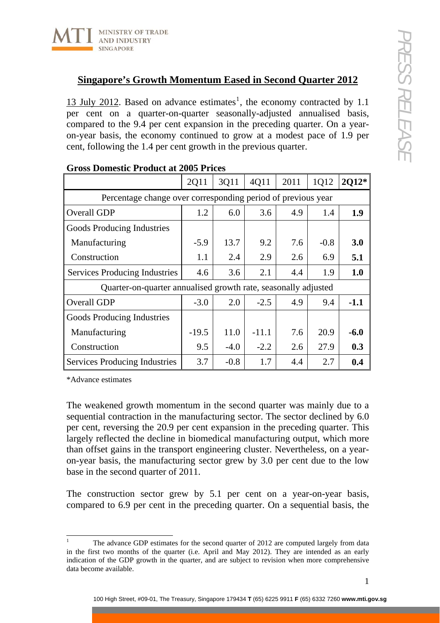## **Singapore's Growth Momentum Eased in Second Quarter 2012**

[1](#page-0-0)3 July 2012. Based on advance estimates<sup>1</sup>, the economy contracted by 1.1 per cent on a quarter-on-quarter seasonally-adjusted annualised basis, compared to the 9.4 per cent expansion in the preceding quarter. On a yearon-year basis, the economy continued to grow at a modest pace of 1.9 per cent, following the 1.4 per cent growth in the previous quarter.

|                                                                | 2Q11    | 3Q11   | 4Q11    | 2011 | 1Q12   | 2Q12*  |
|----------------------------------------------------------------|---------|--------|---------|------|--------|--------|
| Percentage change over corresponding period of previous year   |         |        |         |      |        |        |
| Overall GDP                                                    | 1.2     | 6.0    | 3.6     | 4.9  | 1.4    | 1.9    |
| Goods Producing Industries                                     |         |        |         |      |        |        |
| Manufacturing                                                  | $-5.9$  | 13.7   | 9.2     | 7.6  | $-0.8$ | 3.0    |
| Construction                                                   | 1.1     | 2.4    | 2.9     | 2.6  | 6.9    | 5.1    |
| Services Producing Industries                                  | 4.6     | 3.6    | 2.1     | 4.4  | 1.9    | 1.0    |
| Quarter-on-quarter annualised growth rate, seasonally adjusted |         |        |         |      |        |        |
| Overall GDP                                                    | $-3.0$  | 2.0    | $-2.5$  | 4.9  | 9.4    | $-1.1$ |
| Goods Producing Industries                                     |         |        |         |      |        |        |
| Manufacturing                                                  | $-19.5$ | 11.0   | $-11.1$ | 7.6  | 20.9   | $-6.0$ |
| Construction                                                   | 9.5     | $-4.0$ | $-2.2$  | 2.6  | 27.9   | 0.3    |
| <b>Services Producing Industries</b>                           | 3.7     | $-0.8$ | 1.7     | 4.4  | 2.7    | 0.4    |

## **Gross Domestic Product at 2005 Prices**

\*Advance estimates

The weakened growth momentum in the second quarter was mainly due to a sequential contraction in the manufacturing sector. The sector declined by 6.0 per cent, reversing the 20.9 per cent expansion in the preceding quarter. This largely reflected the decline in biomedical manufacturing output, which more than offset gains in the transport engineering cluster. Nevertheless, on a yearon-year basis, the manufacturing sector grew by 3.0 per cent due to the low base in the second quarter of 2011.

The construction sector grew by 5.1 per cent on a year-on-year basis, compared to 6.9 per cent in the preceding quarter. On a sequential basis, the

<span id="page-0-0"></span> $\frac{1}{1}$  The advance GDP estimates for the second quarter of 2012 are computed largely from data in the first two months of the quarter (i.e. April and May 2012). They are intended as an early indication of the GDP growth in the quarter, and are subject to revision when more comprehensive data become available.